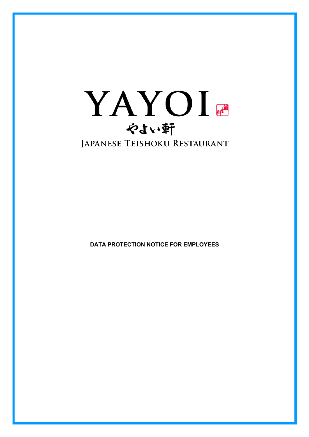

**DATA PROTECTION NOTICE FOR EMPLOYEES**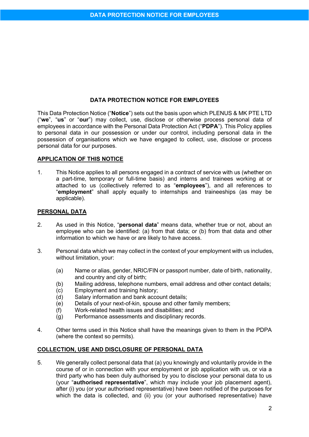### **DATA PROTECTION NOTICE FOR EMPLOYEES**

This Data Protection Notice ("**Notice**") sets out the basis upon which PLENUS & MK PTE LTD ("**we**", "**us**" or "**our**") may collect, use, disclose or otherwise process personal data of employees in accordance with the Personal Data Protection Act ("**PDPA**"). This Policy applies to personal data in our possession or under our control, including personal data in the possession of organisations which we have engaged to collect, use, disclose or process personal data for our purposes.

### **APPLICATION OF THIS NOTICE**

1. This Notice applies to all persons engaged in a contract of service with us (whether on a part-time, temporary or full-time basis) and interns and trainees working at or attached to us (collectively referred to as "**employees**"), and all references to "**employment**" shall apply equally to internships and traineeships (as may be applicable).

#### **PERSONAL DATA**

- 2. As used in this Notice, "**personal data**" means data, whether true or not, about an employee who can be identified: (a) from that data; or (b) from that data and other information to which we have or are likely to have access.
- 3. Personal data which we may collect in the context of your employment with us includes, without limitation, your:
	- (a) Name or alias, gender, NRIC/FIN or passport number, date of birth, nationality, and country and city of birth;
	- (b) Mailing address, telephone numbers, email address and other contact details;
	- (c) Employment and training history;
	- (d) Salary information and bank account details;
	- (e) Details of your next-of-kin, spouse and other family members;
	- (f) Work-related health issues and disabilities; and
	- (g) Performance assessments and disciplinary records.
- 4. Other terms used in this Notice shall have the meanings given to them in the PDPA (where the context so permits).

### **COLLECTION, USE AND DISCLOSURE OF PERSONAL DATA**

5. We generally collect personal data that (a) you knowingly and voluntarily provide in the course of or in connection with your employment or job application with us, or via a third party who has been duly authorised by you to disclose your personal data to us (your "**authorised representative**", which may include your job placement agent), after (i) you (or your authorised representative) have been notified of the purposes for which the data is collected, and (ii) you (or your authorised representative) have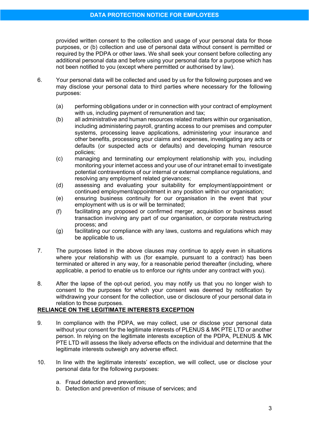provided written consent to the collection and usage of your personal data for those purposes, or (b) collection and use of personal data without consent is permitted or required by the PDPA or other laws. We shall seek your consent before collecting any additional personal data and before using your personal data for a purpose which has not been notified to you (except where permitted or authorised by law).

- 6. Your personal data will be collected and used by us for the following purposes and we may disclose your personal data to third parties where necessary for the following purposes:
	- (a) performing obligations under or in connection with your contract of employment with us, including payment of remuneration and tax;
	- (b) all administrative and human resources related matters within our organisation, including administering payroll, granting access to our premises and computer systems, processing leave applications, administering your insurance and other benefits, processing your claims and expenses, investigating any acts or defaults (or suspected acts or defaults) and developing human resource policies;
	- (c) managing and terminating our employment relationship with you, including monitoring your internet access and your use of our intranet email to investigate potential contraventions of our internal or external compliance regulations, and resolving any employment related grievances;
	- (d) assessing and evaluating your suitability for employment/appointment or continued employment/appointment in any position within our organisation;
	- (e) ensuring business continuity for our organisation in the event that your employment with us is or will be terminated;
	- (f) facilitating any proposed or confirmed merger, acquisition or business asset transaction involving any part of our organisation, or corporate restructuring process; and
	- (g) facilitating our compliance with any laws, customs and regulations which may be applicable to us.
- 7. The purposes listed in the above clauses may continue to apply even in situations where your relationship with us (for example, pursuant to a contract) has been terminated or altered in any way, for a reasonable period thereafter (including, where applicable, a period to enable us to enforce our rights under any contract with you).
- 8. After the lapse of the opt-out period, you may notify us that you no longer wish to consent to the purposes for which your consent was deemed by notification by withdrawing your consent for the collection, use or disclosure of your personal data in relation to those purposes.

# **RELIANCE ON THE LEGITIMATE INTERESTS EXCEPTION**

- 9. In compliance with the PDPA, we may collect, use or disclose your personal data without your consent for the legitimate interests of PLENUS & MK PTE LTD or another person. In relying on the legitimate interests exception of the PDPA, PLENUS & MK PTE LTD will assess the likely adverse effects on the individual and determine that the legitimate interests outweigh any adverse effect.
- 10. In line with the legitimate interests' exception, we will collect, use or disclose your personal data for the following purposes:
	- a. Fraud detection and prevention;
	- b. Detection and prevention of misuse of services; and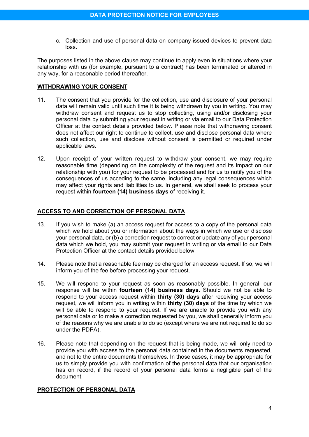c. Collection and use of personal data on company-issued devices to prevent data loss.

The purposes listed in the above clause may continue to apply even in situations where your relationship with us (for example, pursuant to a contract) has been terminated or altered in any way, for a reasonable period thereafter.

## **WITHDRAWING YOUR CONSENT**

- 11. The consent that you provide for the collection, use and disclosure of your personal data will remain valid until such time it is being withdrawn by you in writing. You may withdraw consent and request us to stop collecting, using and/or disclosing your personal data by submitting your request in writing or via email to our Data Protection Officer at the contact details provided below. Please note that withdrawing consent does not affect our right to continue to collect, use and disclose personal data where such collection, use and disclose without consent is permitted or required under applicable laws.
- 12. Upon receipt of your written request to withdraw your consent, we may require reasonable time (depending on the complexity of the request and its impact on our relationship with you) for your request to be processed and for us to notify you of the consequences of us acceding to the same, including any legal consequences which may affect your rights and liabilities to us. In general, we shall seek to process your request within **fourteen (14) business days** of receiving it.

## **ACCESS TO AND CORRECTION OF PERSONAL DATA**

- 13. If you wish to make (a) an access request for access to a copy of the personal data which we hold about you or information about the ways in which we use or disclose your personal data, or (b) a correction request to correct or update any of your personal data which we hold, you may submit your request in writing or via email to our Data Protection Officer at the contact details provided below.
- 14. Please note that a reasonable fee may be charged for an access request. If so, we will inform you of the fee before processing your request.
- 15. We will respond to your request as soon as reasonably possible. In general, our response will be within **fourteen (14) business days.** Should we not be able to respond to your access request within **thirty (30) days** after receiving your access request, we will inform you in writing within **thirty (30) days** of the time by which we will be able to respond to your request. If we are unable to provide you with any personal data or to make a correction requested by you, we shall generally inform you of the reasons why we are unable to do so (except where we are not required to do so under the PDPA).
- 16. Please note that depending on the request that is being made, we will only need to provide you with access to the personal data contained in the documents requested, and not to the entire documents themselves. In those cases, it may be appropriate for us to simply provide you with confirmation of the personal data that our organisation has on record, if the record of your personal data forms a negligible part of the document.

## **PROTECTION OF PERSONAL DATA**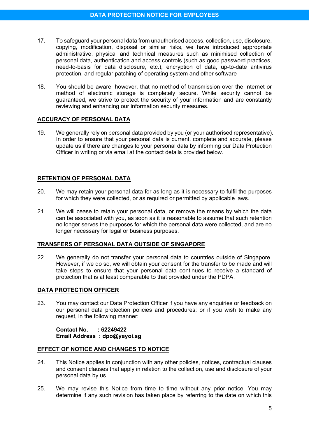- 17. To safeguard your personal data from unauthorised access, collection, use, disclosure, copying, modification, disposal or similar risks, we have introduced appropriate administrative, physical and technical measures such as minimised collection of personal data, authentication and access controls (such as good password practices, need-to-basis for data disclosure, etc.), encryption of data, up-to-date antivirus protection, and regular patching of operating system and other software
- 18. You should be aware, however, that no method of transmission over the Internet or method of electronic storage is completely secure. While security cannot be guaranteed, we strive to protect the security of your information and are constantly reviewing and enhancing our information security measures.

#### **ACCURACY OF PERSONAL DATA**

19. We generally rely on personal data provided by you (or your authorised representative). In order to ensure that your personal data is current, complete and accurate, please update us if there are changes to your personal data by informing our Data Protection Officer in writing or via email at the contact details provided below.

### **RETENTION OF PERSONAL DATA**

- 20. We may retain your personal data for as long as it is necessary to fulfil the purposes for which they were collected, or as required or permitted by applicable laws.
- 21. We will cease to retain your personal data, or remove the means by which the data can be associated with you, as soon as it is reasonable to assume that such retention no longer serves the purposes for which the personal data were collected, and are no longer necessary for legal or business purposes.

### **TRANSFERS OF PERSONAL DATA OUTSIDE OF SINGAPORE**

22. We generally do not transfer your personal data to countries outside of Singapore. However, if we do so, we will obtain your consent for the transfer to be made and will take steps to ensure that your personal data continues to receive a standard of protection that is at least comparable to that provided under the PDPA.

### **DATA PROTECTION OFFICER**

23. You may contact our Data Protection Officer if you have any enquiries or feedback on our personal data protection policies and procedures; or if you wish to make any request, in the following manner:

**Contact No. : 62249422 Email Address : dpo@yayoi.sg**

#### **EFFECT OF NOTICE AND CHANGES TO NOTICE**

- 24. This Notice applies in conjunction with any other policies, notices, contractual clauses and consent clauses that apply in relation to the collection, use and disclosure of your personal data by us.
- 25. We may revise this Notice from time to time without any prior notice. You may determine if any such revision has taken place by referring to the date on which this